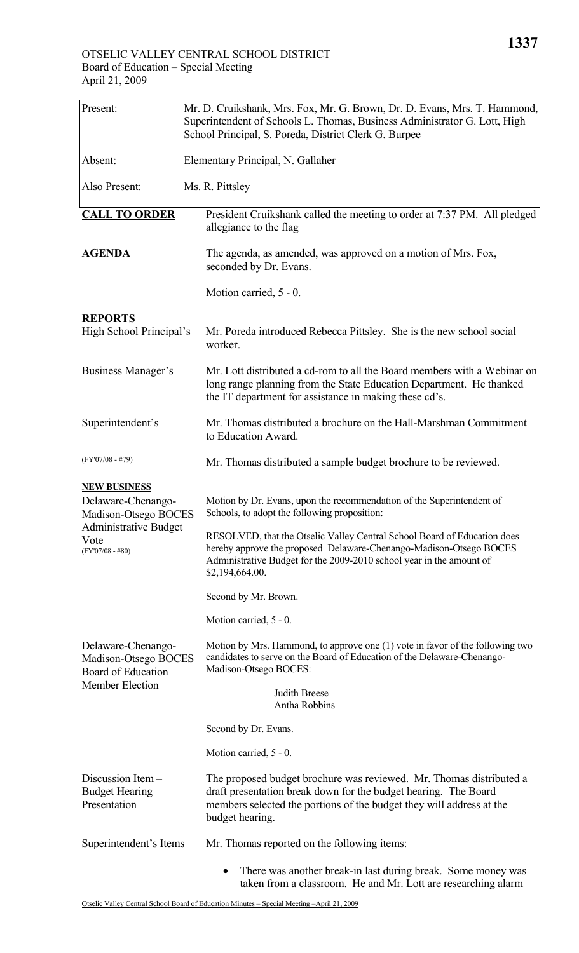| Present:                                                                            | Mr. D. Cruikshank, Mrs. Fox, Mr. G. Brown, Dr. D. Evans, Mrs. T. Hammond,<br>Superintendent of Schools L. Thomas, Business Administrator G. Lott, High<br>School Principal, S. Poreda, District Clerk G. Burpee                           |
|-------------------------------------------------------------------------------------|-------------------------------------------------------------------------------------------------------------------------------------------------------------------------------------------------------------------------------------------|
| Absent:                                                                             | Elementary Principal, N. Gallaher                                                                                                                                                                                                         |
| Also Present:                                                                       | Ms. R. Pittsley                                                                                                                                                                                                                           |
| <b>CALL TO ORDER</b>                                                                | President Cruikshank called the meeting to order at 7:37 PM. All pledged<br>allegiance to the flag                                                                                                                                        |
| <b>AGENDA</b>                                                                       | The agenda, as amended, was approved on a motion of Mrs. Fox,<br>seconded by Dr. Evans.                                                                                                                                                   |
|                                                                                     | Motion carried, 5 - 0.                                                                                                                                                                                                                    |
| <b>REPORTS</b><br>High School Principal's                                           | Mr. Poreda introduced Rebecca Pittsley. She is the new school social<br>worker.                                                                                                                                                           |
| <b>Business Manager's</b>                                                           | Mr. Lott distributed a cd-rom to all the Board members with a Webinar on<br>long range planning from the State Education Department. He thanked<br>the IT department for assistance in making these cd's.                                 |
| Superintendent's                                                                    | Mr. Thomas distributed a brochure on the Hall-Marshman Commitment<br>to Education Award.                                                                                                                                                  |
| $(FY'07/08 - #79)$                                                                  | Mr. Thomas distributed a sample budget brochure to be reviewed.                                                                                                                                                                           |
| <b>NEW BUSINESS</b><br>Delaware-Chenango-<br>Madison-Otsego BOCES                   | Motion by Dr. Evans, upon the recommendation of the Superintendent of<br>Schools, to adopt the following proposition:                                                                                                                     |
| <b>Administrative Budget</b><br>Vote<br>$(FY'07/08 - #80)$                          | RESOLVED, that the Otselic Valley Central School Board of Education does<br>hereby approve the proposed Delaware-Chenango-Madison-Otsego BOCES<br>Administrative Budget for the 2009-2010 school year in the amount of<br>\$2,194,664.00. |
|                                                                                     | Second by Mr. Brown.                                                                                                                                                                                                                      |
|                                                                                     | Motion carried, 5 - 0.                                                                                                                                                                                                                    |
| Delaware-Chenango-<br>Madison-Otsego BOCES<br>Board of Education<br>Member Election | Motion by Mrs. Hammond, to approve one (1) vote in favor of the following two<br>candidates to serve on the Board of Education of the Delaware-Chenango-<br>Madison-Otsego BOCES:                                                         |
|                                                                                     | <b>Judith Breese</b><br>Antha Robbins                                                                                                                                                                                                     |
|                                                                                     | Second by Dr. Evans.                                                                                                                                                                                                                      |
|                                                                                     | Motion carried, 5 - 0.                                                                                                                                                                                                                    |
| Discussion Item $-$<br><b>Budget Hearing</b><br>Presentation                        | The proposed budget brochure was reviewed. Mr. Thomas distributed a<br>draft presentation break down for the budget hearing. The Board<br>members selected the portions of the budget they will address at the<br>budget hearing.         |
| Superintendent's Items                                                              | Mr. Thomas reported on the following items:                                                                                                                                                                                               |
|                                                                                     | There was another break-in last during break. Some money was<br>٠<br>taken from a classroom. He and Mr. Lott are researching alarm                                                                                                        |